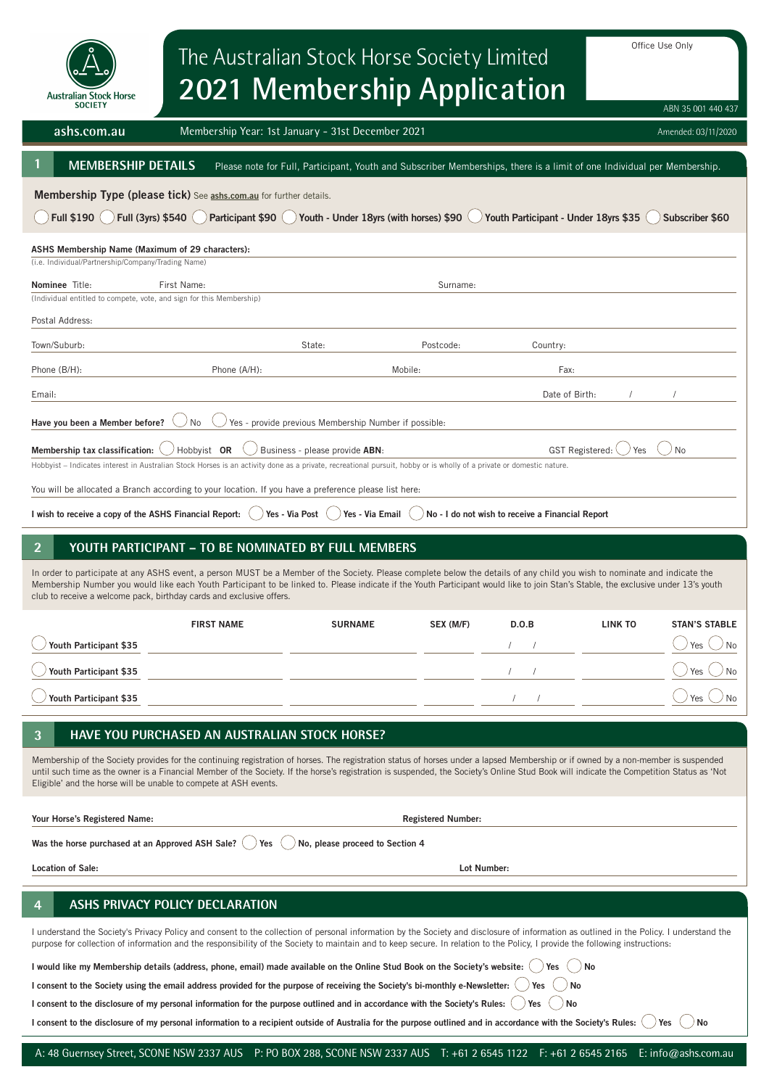| Office Use Only<br>The Australian Stock Horse Society Limited<br>2021 Membership Application<br><b>Australian Stock Horse</b><br><b>SOCIETY</b><br>ABN 35 001 440 437                                                                                                                                                                                                                                                                              |                                                                                                                                                      |                |             |                        |                |                      |  |  |
|----------------------------------------------------------------------------------------------------------------------------------------------------------------------------------------------------------------------------------------------------------------------------------------------------------------------------------------------------------------------------------------------------------------------------------------------------|------------------------------------------------------------------------------------------------------------------------------------------------------|----------------|-------------|------------------------|----------------|----------------------|--|--|
| ashs.com.au                                                                                                                                                                                                                                                                                                                                                                                                                                        | Membership Year: 1st January - 31st December 2021<br>Amended: 03/11/2020                                                                             |                |             |                        |                |                      |  |  |
|                                                                                                                                                                                                                                                                                                                                                                                                                                                    | <b>MEMBERSHIP DETAILS</b><br>Please note for Full, Participant, Youth and Subscriber Memberships, there is a limit of one Individual per Membership. |                |             |                        |                |                      |  |  |
| Membership Type (please tick) See ashs.com.au for further details.<br>Full (3yrs) \$540<br>Participant \$90 ( ) Youth - Under 18yrs (with horses) \$90<br>Youth Participant - Under 18yrs \$35<br><b>Full \$190</b><br>Subscriber \$60<br>ASHS Membership Name (Maximum of 29 characters):                                                                                                                                                         |                                                                                                                                                      |                |             |                        |                |                      |  |  |
| (i.e. Individual/Partnership/Company/Trading Name)<br>Nominee Title:                                                                                                                                                                                                                                                                                                                                                                               | First Name:                                                                                                                                          |                | Surname:    |                        |                |                      |  |  |
| (Individual entitled to compete, vote, and sign for this Membership)                                                                                                                                                                                                                                                                                                                                                                               |                                                                                                                                                      |                |             |                        |                |                      |  |  |
| Postal Address:<br>Town/Suburb:                                                                                                                                                                                                                                                                                                                                                                                                                    |                                                                                                                                                      | State:         | Postcode:   | Country:               |                |                      |  |  |
| Phone (B/H):                                                                                                                                                                                                                                                                                                                                                                                                                                       | Phone (A/H):                                                                                                                                         |                | Mobile:     | Fax:                   |                |                      |  |  |
| Email:                                                                                                                                                                                                                                                                                                                                                                                                                                             |                                                                                                                                                      |                |             | Date of Birth:         |                |                      |  |  |
| Have you been a Member before?<br>Yes - provide previous Membership Number if possible:<br>No<br>Membership tax classification:<br>Hobbyist OR<br>Business - please provide ABN:<br><b>GST Registered:</b><br>No<br>Yes                                                                                                                                                                                                                            |                                                                                                                                                      |                |             |                        |                |                      |  |  |
| Hobbyist - Indicates interest in Australian Stock Horses is an activity done as a private, recreational pursuit, hobby or is wholly of a private or domestic nature.                                                                                                                                                                                                                                                                               |                                                                                                                                                      |                |             |                        |                |                      |  |  |
| You will be allocated a Branch according to your location. If you have a preference please list here:<br>I wish to receive a copy of the ASHS Financial Report:<br>Yes - Via Post<br>Yes - Via Email<br>No - I do not wish to receive a Financial Report                                                                                                                                                                                           |                                                                                                                                                      |                |             |                        |                |                      |  |  |
| YOUTH PARTICIPANT - TO BE NOMINATED BY FULL MEMBERS                                                                                                                                                                                                                                                                                                                                                                                                |                                                                                                                                                      |                |             |                        |                |                      |  |  |
| In order to participate at any ASHS event, a person MUST be a Member of the Society. Please complete below the details of any child you wish to nominate and indicate the<br>Membership Number you would like each Youth Participant to be linked to. Please indicate if the Youth Participant would like to join Stan's Stable, the exclusive under 13's youth<br>club to receive a welcome pack, birthday cards and exclusive offers.            |                                                                                                                                                      |                |             |                        |                |                      |  |  |
|                                                                                                                                                                                                                                                                                                                                                                                                                                                    | <b>FIRST NAME</b>                                                                                                                                    | <b>SURNAME</b> | SEX (M/F)   | D.O.B                  | <b>LINK TO</b> | <b>STAN'S STABLE</b> |  |  |
| Youth Participant \$35                                                                                                                                                                                                                                                                                                                                                                                                                             |                                                                                                                                                      |                |             |                        |                | Yes<br>No            |  |  |
| Youth Participant \$35                                                                                                                                                                                                                                                                                                                                                                                                                             |                                                                                                                                                      |                |             |                        |                | Yes<br>No            |  |  |
| Youth Participant \$35                                                                                                                                                                                                                                                                                                                                                                                                                             |                                                                                                                                                      |                |             |                        |                | Yes                  |  |  |
| HAVE YOU PURCHASED AN AUSTRALIAN STOCK HORSE?<br>3                                                                                                                                                                                                                                                                                                                                                                                                 |                                                                                                                                                      |                |             |                        |                |                      |  |  |
| Membership of the Society provides for the continuing registration of horses. The registration status of horses under a lapsed Membership or if owned by a non-member is suspended<br>until such time as the owner is a Financial Member of the Society. If the horse's registration is suspended, the Society's Online Stud Book will indicate the Competition Status as 'Not<br>Eligible' and the horse will be unable to compete at ASH events. |                                                                                                                                                      |                |             |                        |                |                      |  |  |
| Your Horse's Registered Name:<br><b>Registered Number:</b>                                                                                                                                                                                                                                                                                                                                                                                         |                                                                                                                                                      |                |             |                        |                |                      |  |  |
| Was the horse purchased at an Approved ASH Sale?<br>No, please proceed to Section 4<br>Yes                                                                                                                                                                                                                                                                                                                                                         |                                                                                                                                                      |                |             |                        |                |                      |  |  |
| <b>Location of Sale:</b>                                                                                                                                                                                                                                                                                                                                                                                                                           |                                                                                                                                                      |                | Lot Number: |                        |                |                      |  |  |
| ASHS PRIVACY POLICY DECLARATION                                                                                                                                                                                                                                                                                                                                                                                                                    |                                                                                                                                                      |                |             |                        |                |                      |  |  |
| I understand the Society's Privacy Policy and consent to the collection of personal information by the Society and disclosure of information as outlined in the Policy. I understand the<br>purpose for collection of information and the responsibility of the Society to maintain and to keep secure. In relation to the Policy, I provide the following instructions:                                                                           |                                                                                                                                                      |                |             |                        |                |                      |  |  |
| No<br>I would like my Membership details (address, phone, email) made available on the Online Stud Book on the Society's website:<br>Yes<br>I consent to the Society using the email address provided for the purpose of receiving the Society's bi-monthly e-Newsletter:                                                                                                                                                                          |                                                                                                                                                      |                |             |                        |                |                      |  |  |
| I consent to the disclosure of my personal information for the purpose outlined and in accordance with the Society's Rules:                                                                                                                                                                                                                                                                                                                        |                                                                                                                                                      |                |             | No<br>Yes<br>No<br>Yes |                |                      |  |  |
| I consent to the disclosure of my personal information to a recipient outside of Australia for the purpose outlined and in accordance with the Society's Rules:<br>Yes<br>No                                                                                                                                                                                                                                                                       |                                                                                                                                                      |                |             |                        |                |                      |  |  |

I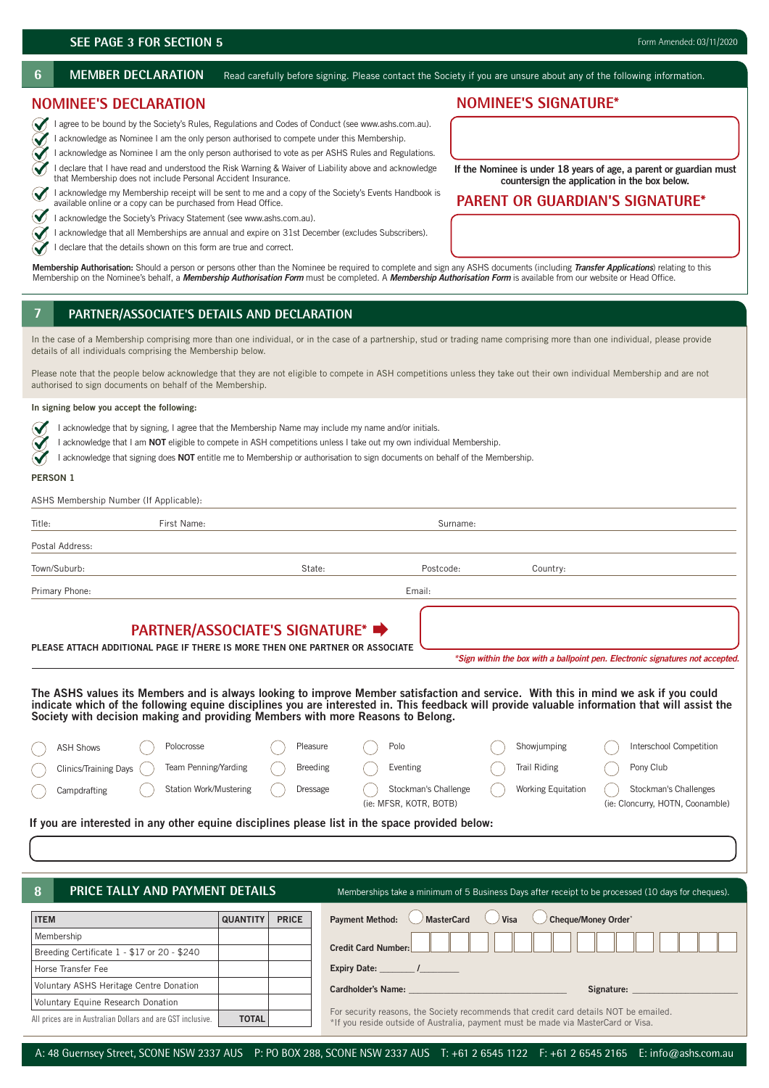∾

 $\checkmark$  $\tilde{\blacktriangledown}$ 

6 MEMBER DECLARATION Read carefully before signing. Please contact the Society if you are unsure about any of the following information.

# **NOMINEE'S DECLARATION**

I agree to be bound by the Society's Rules, Regulations and Codes of Conduct (see www.ashs.com.au).  $\blacklozenge$ 

I acknowledge as Nominee I am the only person authorised to compete under this Membership.

 I acknowledge as Nominee I am the only person authorised to vote as per ASHS Rules and Regulations. I declare that I have read and understood the Risk Warning & Waiver of Liability above and acknowledge that Membership does not include Personal Accident Insurance.

 I acknowledge my Membership receipt will be sent to me and a copy of the Society's Events Handbook is  $\checkmark$ available online or a copy can be purchased from Head Office.

 $\bigvee$  I acknowledge the Society's Privacy Statement (see www.ashs.com.au).

I acknowledge that all Memberships are annual and expire on 31st December (excludes Subscribers).

I declare that the details shown on this form are true and correct.

**Membership Authorisation:** Should a person or persons other than the Nominee be required to complete and sign any ASHS documents (including *Transfer Applications*) relating to this Membership on the Nominee's behalf, a *Membership Authorisation Form* must be completed. A *Membership Authorisation Form* is available from our website or Head Office.

# **7 1. PARTNER/ASSOCIATE'S DETAILS AND DECLARATION**

In the case of a Membership comprising more than one individual, or in the case of a partnership, stud or trading name comprising more than one individual, please provide details of all individuals comprising the Membership below.

Please note that the people below acknowledge that they are not eligible to compete in ASH competitions unless they take out their own individual Membership and are not authorised to sign documents on behalf of the Membership.

### **In signing below you accept the following:**

- $\sim$ I acknowledge that by signing, I agree that the Membership Name may include my name and/or initials.
- I acknowledge that I am **NOT** eligible to compete in ASH competitions unless I take out my own individual Membership.
- I acknowledge that signing does **NOT** entitle me to Membership or authorisation to sign documents on behalf of the Membership.  $\checkmark$

## **PERSON 1**

ASHS Membership Number (If Applicable):

| Title:          | First Name: |        | Surname:  |          |  |  |
|-----------------|-------------|--------|-----------|----------|--|--|
| Postal Address: |             |        |           |          |  |  |
| Town/Suburb:    |             | State: | Postcode: | Country: |  |  |
| Primary Phone:  |             |        | Email:    |          |  |  |

# **PARTNER/ASSOCIATE'S SIGNATURE\***

**PLEASE ATTACH ADDITIONAL PAGE IF THERE IS MORE THEN ONE PARTNER OR ASSOCIATE**

*\*Sign within the box with a ballpoint pen. Electronic signatures not accepted.*

**The ASHS values its Members and is always looking to improve Member satisfaction and service. With this in mind we ask if you could indicate which of the following equine disciplines you are interested in. This feedback will provide valuable information that will assist the Society with decision making and providing Members with more Reasons to Belong.**

| (ie: Cloncurry, HOTN, Coonamble)<br>(ie: MFSR, KOTR, BOTB)                                     |  | <b>Clinics/Training Days</b><br>Campdrafting |  | <b>Station Work/Mustering</b> |  | Dressage |  | Stockman's Challenge |  | Working Equitation |  | Stockman's Challenges |
|------------------------------------------------------------------------------------------------|--|----------------------------------------------|--|-------------------------------|--|----------|--|----------------------|--|--------------------|--|-----------------------|
| If you are interested in any other equine disciplines please list in the space provided below: |  |                                              |  |                               |  |          |  |                      |  |                    |  |                       |

**8**

**PRICE TALLY AND PAYMENT DETAILS** Memberships take a minimum of 5 Business Days after receipt to be processed (10 days for cheques).

| <b>ITEM</b>                                                 | <b>QUANTITY</b> | <b>PRICE</b> | Payment Method: MasterCard Visa Cheque/Money Order*                                                                                                                        |  |  |  |  |  |
|-------------------------------------------------------------|-----------------|--------------|----------------------------------------------------------------------------------------------------------------------------------------------------------------------------|--|--|--|--|--|
| Membership                                                  |                 |              |                                                                                                                                                                            |  |  |  |  |  |
| Breeding Certificate 1 - \$17 or 20 - \$240                 |                 |              | Credit Card Number:                                                                                                                                                        |  |  |  |  |  |
| Horse Transfer Fee                                          |                 |              | Expiry Date: The Manufacturer of the Manufacturer of the Manufacturer of the Manufacturer of the Manufacturer                                                              |  |  |  |  |  |
| Voluntary ASHS Heritage Centre Donation                     |                 |              | <b>Cardholder's Name:</b><br>Signature:                                                                                                                                    |  |  |  |  |  |
| <b>Voluntary Equine Research Donation</b>                   |                 |              |                                                                                                                                                                            |  |  |  |  |  |
| All prices are in Australian Dollars and are GST inclusive. | <b>TOTAL</b>    |              | For security reasons, the Society recommends that credit card details NOT be emailed.<br>*If you reside outside of Australia, payment must be made via MasterCard or Visa. |  |  |  |  |  |

# A: 48 Guernsey Street, SCONE NSW 2337 AUS P: PO BOX 288, SCONE NSW 2337 AUS T: +61 2 6545 1122 F: +61 2 6545 2165 E: info@ashs.com.au

**NOMINEE'S SIGNATURE\***

**If the Nominee is under 18 years of age, a parent or guardian must countersign the application in the box below.**

# **PARENT OR GUARDIAN'S SIGNATURE\***